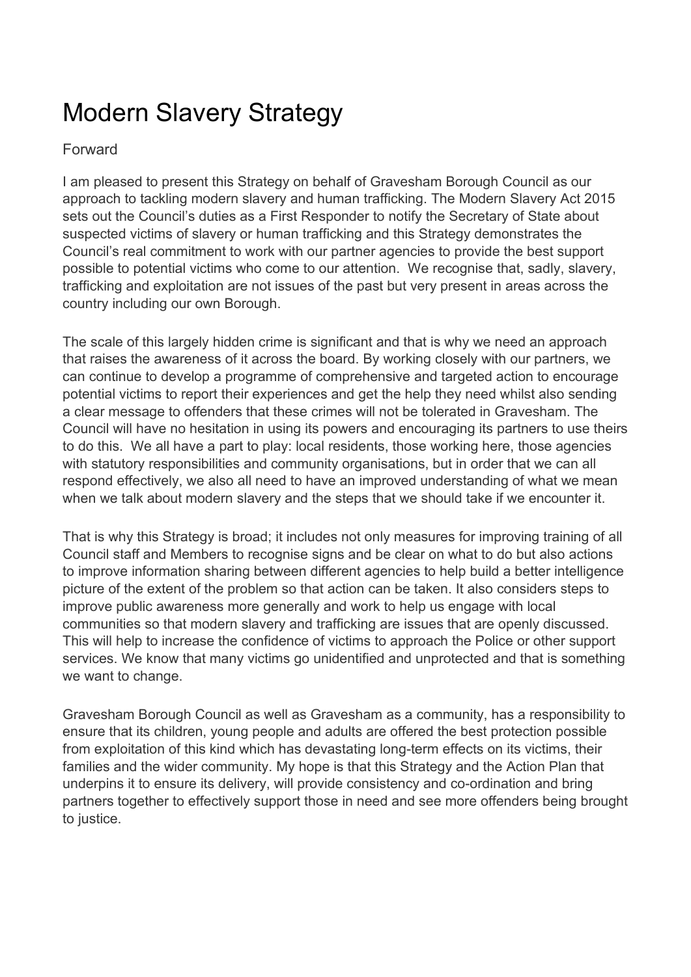# Modern Slavery Strategy

### Forward

I am pleased to present this Strategy on behalf of Gravesham Borough Council as our approach to tackling modern slavery and human trafficking. The Modern Slavery Act 2015 sets out the Council's duties as a First Responder to notify the Secretary of State about suspected victims of slavery or human trafficking and this Strategy demonstrates the Council's real commitment to work with our partner agencies to provide the best support possible to potential victims who come to our attention. We recognise that, sadly, slavery, trafficking and exploitation are not issues of the past but very present in areas across the country including our own Borough.

The scale of this largely hidden crime is significant and that is why we need an approach that raises the awareness of it across the board. By working closely with our partners, we can continue to develop a programme of comprehensive and targeted action to encourage potential victims to report their experiences and get the help they need whilst also sending a clear message to offenders that these crimes will not be tolerated in Gravesham. The Council will have no hesitation in using its powers and encouraging its partners to use theirs to do this. We all have a part to play: local residents, those working here, those agencies with statutory responsibilities and community organisations, but in order that we can all respond effectively, we also all need to have an improved understanding of what we mean when we talk about modern slavery and the steps that we should take if we encounter it.

That is why this Strategy is broad; it includes not only measures for improving training of all Council staff and Members to recognise signs and be clear on what to do but also actions to improve information sharing between different agencies to help build a better intelligence picture of the extent of the problem so that action can be taken. It also considers steps to improve public awareness more generally and work to help us engage with local communities so that modern slavery and trafficking are issues that are openly discussed. This will help to increase the confidence of victims to approach the Police or other support services. We know that many victims go unidentified and unprotected and that is something we want to change.

Gravesham Borough Council as well as Gravesham as a community, has a responsibility to ensure that its children, young people and adults are offered the best protection possible from exploitation of this kind which has devastating long-term effects on its victims, their families and the wider community. My hope is that this Strategy and the Action Plan that underpins it to ensure its delivery, will provide consistency and co-ordination and bring partners together to effectively support those in need and see more offenders being brought to justice.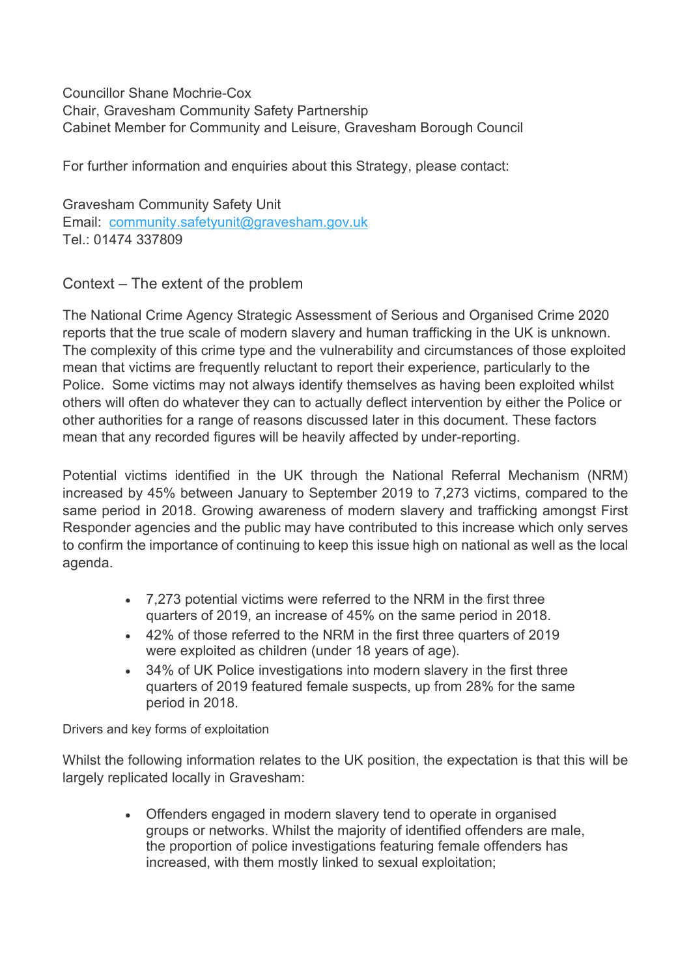Councillor Shane Mochrie-Cox Chair, Gravesham Community Safety Partnership Cabinet Member for Community and Leisure, Gravesham Borough Council

For further information and enquiries about this Strategy, please contact:

Gravesham Community Safety Unit Email: [community.safetyunit@gravesham.gov.uk](mailto:community.safetyunit@gravesham.gov.uk) Tel: 01474 337809

Context – The extent of the problem

The National Crime Agency Strategic Assessment of Serious and Organised Crime 2020 reports that the true scale of modern slavery and human trafficking in the UK is unknown. The complexity of this crime type and the vulnerability and circumstances of those exploited mean that victims are frequently reluctant to report their experience, particularly to the Police. Some victims may not always identify themselves as having been exploited whilst others will often do whatever they can to actually deflect intervention by either the Police or other authorities for a range of reasons discussed later in this document. These factors mean that any recorded figures will be heavily affected by under-reporting.

Potential victims identified in the UK through the National Referral Mechanism (NRM) increased by 45% between January to September 2019 to 7,273 victims, compared to the same period in 2018. Growing awareness of modern slavery and trafficking amongst First Responder agencies and the public may have contributed to this increase which only serves to confirm the importance of continuing to keep this issue high on national as well as the local agenda.

- 7,273 potential victims were referred to the NRM in the first three quarters of 2019, an increase of 45% on the same period in 2018.
- 42% of those referred to the NRM in the first three quarters of 2019 were exploited as children (under 18 years of age).
- 34% of UK Police investigations into modern slavery in the first three quarters of 2019 featured female suspects, up from 28% for the same period in 2018.

Drivers and key forms of exploitation

Whilst the following information relates to the UK position, the expectation is that this will be largely replicated locally in Gravesham:

> • Offenders engaged in modern slavery tend to operate in organised groups or networks. Whilst the majority of identified offenders are male, the proportion of police investigations featuring female offenders has increased, with them mostly linked to sexual exploitation;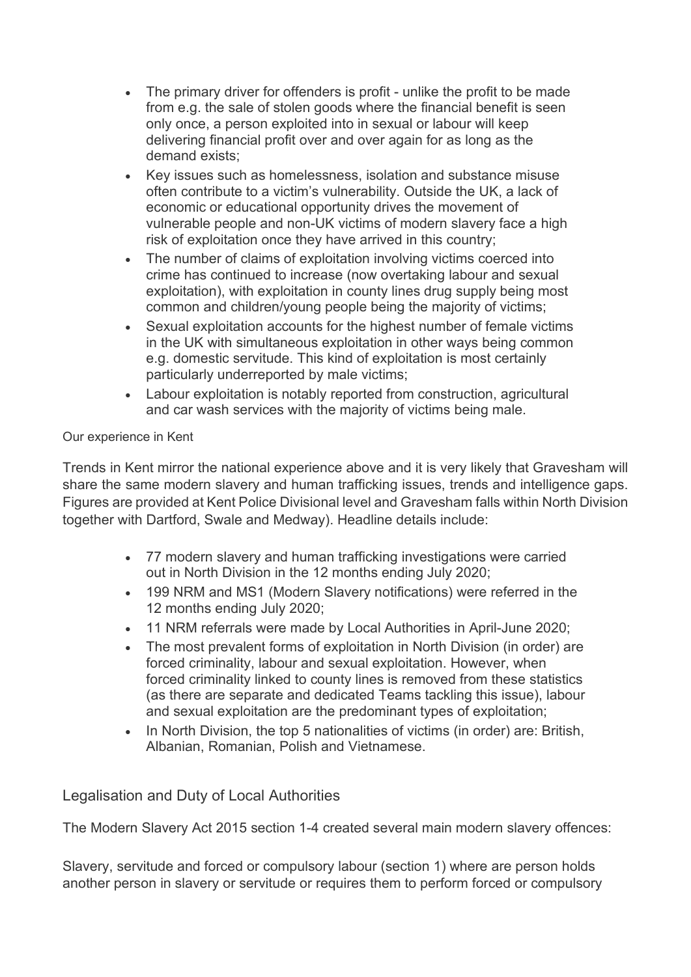- The primary driver for offenders is profit unlike the profit to be made from e.g. the sale of stolen goods where the financial benefit is seen only once, a person exploited into in sexual or labour will keep delivering financial profit over and over again for as long as the demand exists;
- Key issues such as homelessness, isolation and substance misuse often contribute to a victim's vulnerability. Outside the UK, a lack of economic or educational opportunity drives the movement of vulnerable people and non-UK victims of modern slavery face a high risk of exploitation once they have arrived in this country;
- The number of claims of exploitation involving victims coerced into crime has continued to increase (now overtaking labour and sexual exploitation), with exploitation in county lines drug supply being most common and children/young people being the majority of victims;
- Sexual exploitation accounts for the highest number of female victims in the UK with simultaneous exploitation in other ways being common e.g. domestic servitude. This kind of exploitation is most certainly particularly underreported by male victims;
- Labour exploitation is notably reported from construction, agricultural and car wash services with the majority of victims being male.

#### Our experience in Kent

Trends in Kent mirror the national experience above and it is very likely that Gravesham will share the same modern slavery and human trafficking issues, trends and intelligence gaps. Figures are provided at Kent Police Divisional level and Gravesham falls within North Division together with Dartford, Swale and Medway). Headline details include:

- 77 modern slavery and human trafficking investigations were carried out in North Division in the 12 months ending July 2020;
- 199 NRM and MS1 (Modern Slavery notifications) were referred in the 12 months ending July 2020;
- 11 NRM referrals were made by Local Authorities in April-June 2020;
- The most prevalent forms of exploitation in North Division (in order) are forced criminality, labour and sexual exploitation. However, when forced criminality linked to county lines is removed from these statistics (as there are separate and dedicated Teams tackling this issue), labour and sexual exploitation are the predominant types of exploitation;
- In North Division, the top 5 nationalities of victims (in order) are: British, Albanian, Romanian, Polish and Vietnamese.

### Legalisation and Duty of Local Authorities

The Modern Slavery Act 2015 section 1-4 created several main modern slavery offences:

Slavery, servitude and forced or compulsory labour (section 1) where are person holds another person in slavery or servitude or requires them to perform forced or compulsory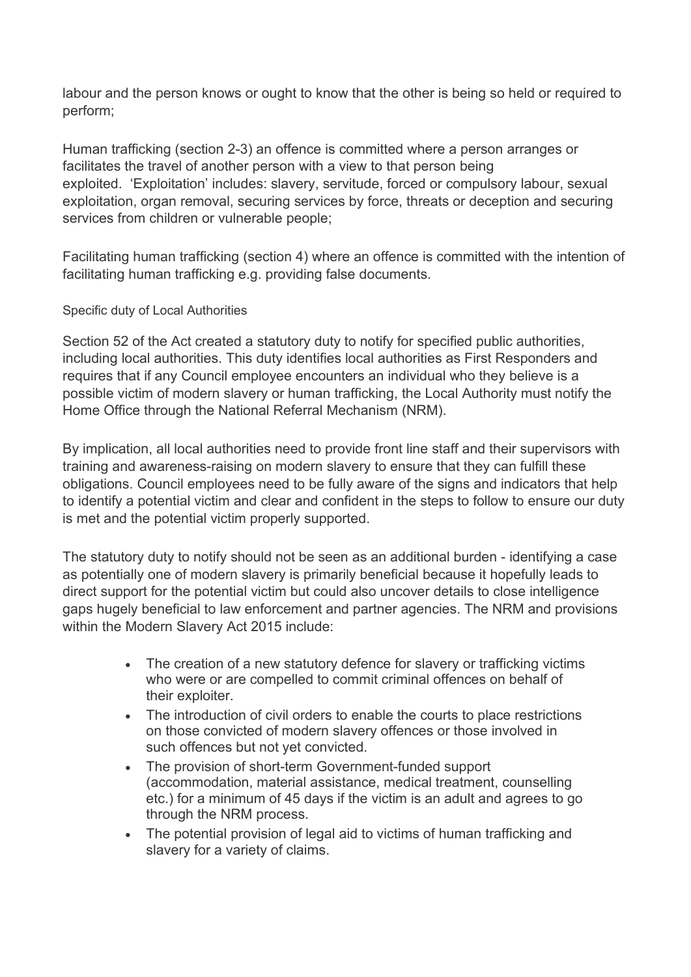labour and the person knows or ought to know that the other is being so held or required to perform;

Human trafficking (section 2-3) an offence is committed where a person arranges or facilitates the travel of another person with a view to that person being exploited. 'Exploitation' includes: slavery, servitude, forced or compulsory labour, sexual exploitation, organ removal, securing services by force, threats or deception and securing services from children or vulnerable people;

Facilitating human trafficking (section 4) where an offence is committed with the intention of facilitating human trafficking e.g. providing false documents.

#### Specific duty of Local Authorities

Section 52 of the Act created a statutory duty to notify for specified public authorities, including local authorities. This duty identifies local authorities as First Responders and requires that if any Council employee encounters an individual who they believe is a possible victim of modern slavery or human trafficking, the Local Authority must notify the Home Office through the National Referral Mechanism (NRM).

By implication, all local authorities need to provide front line staff and their supervisors with training and awareness-raising on modern slavery to ensure that they can fulfill these obligations. Council employees need to be fully aware of the signs and indicators that help to identify a potential victim and clear and confident in the steps to follow to ensure our duty is met and the potential victim properly supported.

The statutory duty to notify should not be seen as an additional burden - identifying a case as potentially one of modern slavery is primarily beneficial because it hopefully leads to direct support for the potential victim but could also uncover details to close intelligence gaps hugely beneficial to law enforcement and partner agencies. The NRM and provisions within the Modern Slavery Act 2015 include:

- The creation of a new statutory defence for slavery or trafficking victims who were or are compelled to commit criminal offences on behalf of their exploiter.
- The introduction of civil orders to enable the courts to place restrictions on those convicted of modern slavery offences or those involved in such offences but not yet convicted.
- The provision of short-term Government-funded support (accommodation, material assistance, medical treatment, counselling etc.) for a minimum of 45 days if the victim is an adult and agrees to go through the NRM process.
- The potential provision of legal aid to victims of human trafficking and slavery for a variety of claims.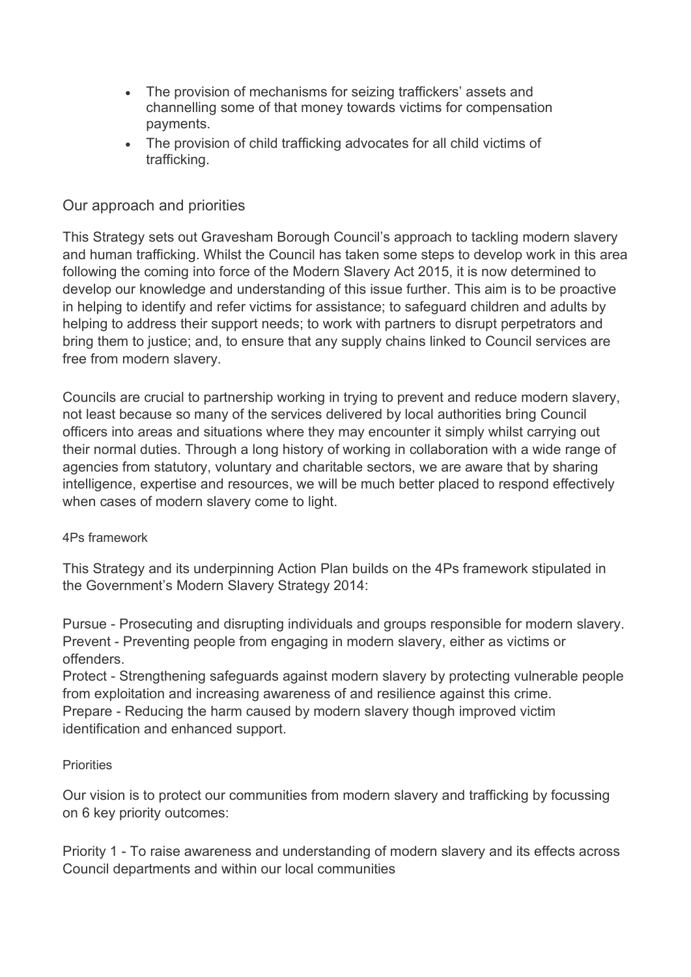- The provision of mechanisms for seizing traffickers' assets and channelling some of that money towards victims for compensation payments.
- The provision of child trafficking advocates for all child victims of trafficking.

### Our approach and priorities

This Strategy sets out Gravesham Borough Council's approach to tackling modern slavery and human trafficking. Whilst the Council has taken some steps to develop work in this area following the coming into force of the Modern Slavery Act 2015, it is now determined to develop our knowledge and understanding of this issue further. This aim is to be proactive in helping to identify and refer victims for assistance; to safeguard children and adults by helping to address their support needs; to work with partners to disrupt perpetrators and bring them to justice; and, to ensure that any supply chains linked to Council services are free from modern slavery.

Councils are crucial to partnership working in trying to prevent and reduce modern slavery, not least because so many of the services delivered by local authorities bring Council officers into areas and situations where they may encounter it simply whilst carrying out their normal duties. Through a long history of working in collaboration with a wide range of agencies from statutory, voluntary and charitable sectors, we are aware that by sharing intelligence, expertise and resources, we will be much better placed to respond effectively when cases of modern slavery come to light.

#### 4Ps framework

This Strategy and its underpinning Action Plan builds on the 4Ps framework stipulated in the Government's Modern Slavery Strategy 2014:

Pursue - Prosecuting and disrupting individuals and groups responsible for modern slavery. Prevent - Preventing people from engaging in modern slavery, either as victims or offenders.

Protect - Strengthening safeguards against modern slavery by protecting vulnerable people from exploitation and increasing awareness of and resilience against this crime. Prepare - Reducing the harm caused by modern slavery though improved victim identification and enhanced support.

#### **Priorities**

Our vision is to protect our communities from modern slavery and trafficking by focussing on 6 key priority outcomes:

Priority 1 - To raise awareness and understanding of modern slavery and its effects across Council departments and within our local communities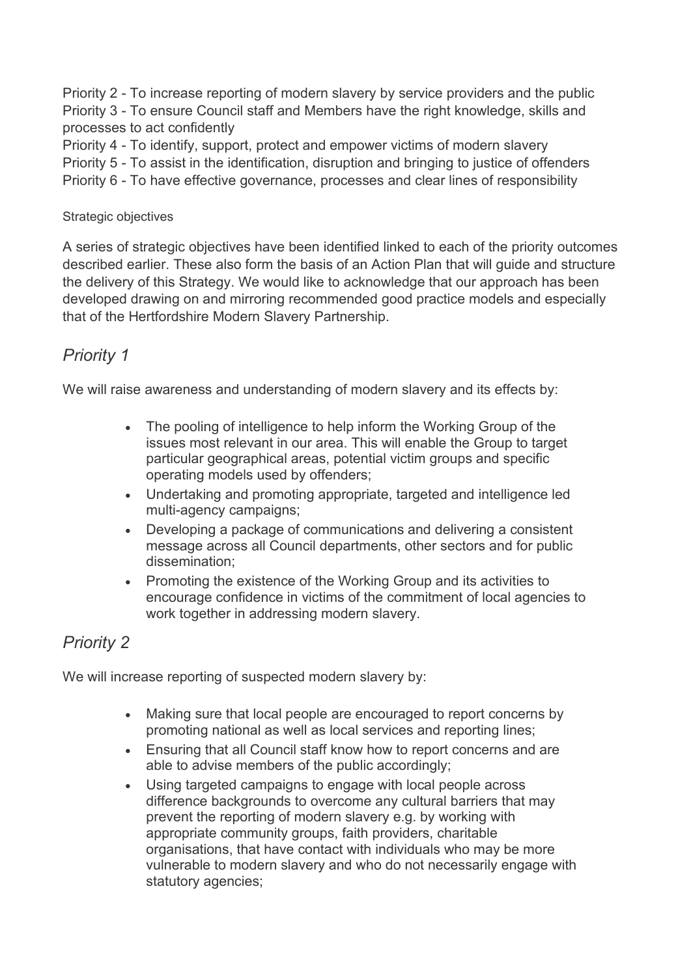Priority 2 - To increase reporting of modern slavery by service providers and the public Priority 3 - To ensure Council staff and Members have the right knowledge, skills and processes to act confidently

Priority 4 - To identify, support, protect and empower victims of modern slavery Priority 5 - To assist in the identification, disruption and bringing to justice of offenders Priority 6 - To have effective governance, processes and clear lines of responsibility

#### Strategic objectives

A series of strategic objectives have been identified linked to each of the priority outcomes described earlier. These also form the basis of an Action Plan that will guide and structure the delivery of this Strategy. We would like to acknowledge that our approach has been developed drawing on and mirroring recommended good practice models and especially that of the Hertfordshire Modern Slavery Partnership.

# *Priority 1*

We will raise awareness and understanding of modern slavery and its effects by:

- The pooling of intelligence to help inform the Working Group of the issues most relevant in our area. This will enable the Group to target particular geographical areas, potential victim groups and specific operating models used by offenders;
- Undertaking and promoting appropriate, targeted and intelligence led multi-agency campaigns;
- Developing a package of communications and delivering a consistent message across all Council departments, other sectors and for public dissemination;
- Promoting the existence of the Working Group and its activities to encourage confidence in victims of the commitment of local agencies to work together in addressing modern slavery.

# *Priority 2*

We will increase reporting of suspected modern slavery by:

- Making sure that local people are encouraged to report concerns by promoting national as well as local services and reporting lines;
- Ensuring that all Council staff know how to report concerns and are able to advise members of the public accordingly;
- Using targeted campaigns to engage with local people across difference backgrounds to overcome any cultural barriers that may prevent the reporting of modern slavery e.g. by working with appropriate community groups, faith providers, charitable organisations, that have contact with individuals who may be more vulnerable to modern slavery and who do not necessarily engage with statutory agencies;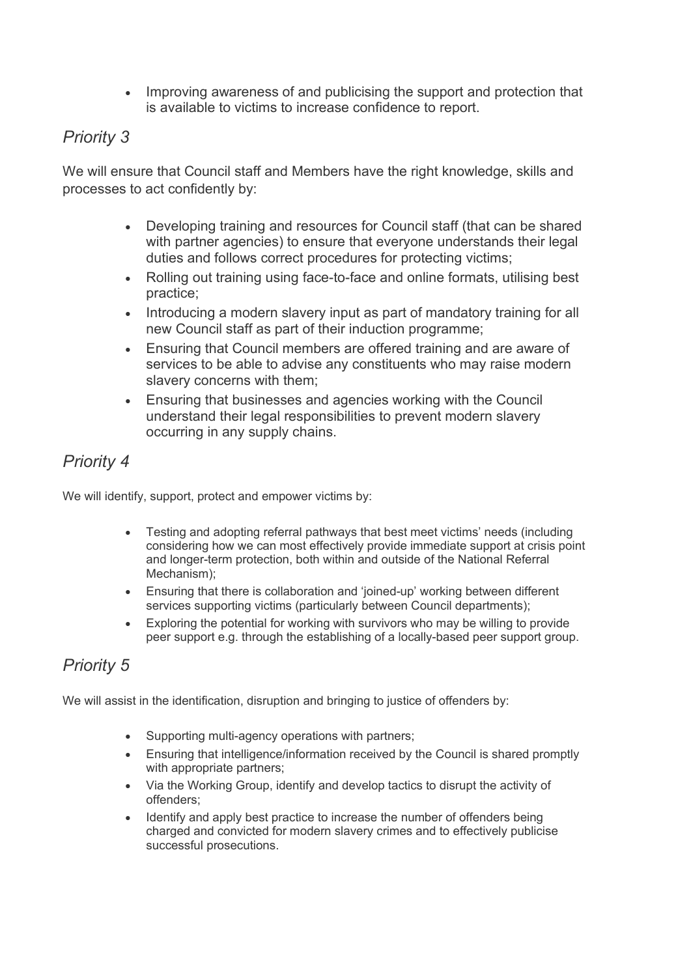• Improving awareness of and publicising the support and protection that is available to victims to increase confidence to report.

# *Priority 3*

We will ensure that Council staff and Members have the right knowledge, skills and processes to act confidently by:

- Developing training and resources for Council staff (that can be shared with partner agencies) to ensure that everyone understands their legal duties and follows correct procedures for protecting victims;
- Rolling out training using face-to-face and online formats, utilising best practice;
- Introducing a modern slavery input as part of mandatory training for all new Council staff as part of their induction programme;
- Ensuring that Council members are offered training and are aware of services to be able to advise any constituents who may raise modern slavery concerns with them;
- Ensuring that businesses and agencies working with the Council understand their legal responsibilities to prevent modern slavery occurring in any supply chains.

# *Priority 4*

We will identify, support, protect and empower victims by:

- Testing and adopting referral pathways that best meet victims' needs (including considering how we can most effectively provide immediate support at crisis point and longer-term protection, both within and outside of the National Referral Mechanism);
- Ensuring that there is collaboration and 'joined-up' working between different services supporting victims (particularly between Council departments);
- Exploring the potential for working with survivors who may be willing to provide peer support e.g. through the establishing of a locally-based peer support group.

# *Priority 5*

We will assist in the identification, disruption and bringing to justice of offenders by:

- Supporting multi-agency operations with partners;
- Ensuring that intelligence/information received by the Council is shared promptly with appropriate partners;
- Via the Working Group, identify and develop tactics to disrupt the activity of offenders;
- Identify and apply best practice to increase the number of offenders being charged and convicted for modern slavery crimes and to effectively publicise successful prosecutions.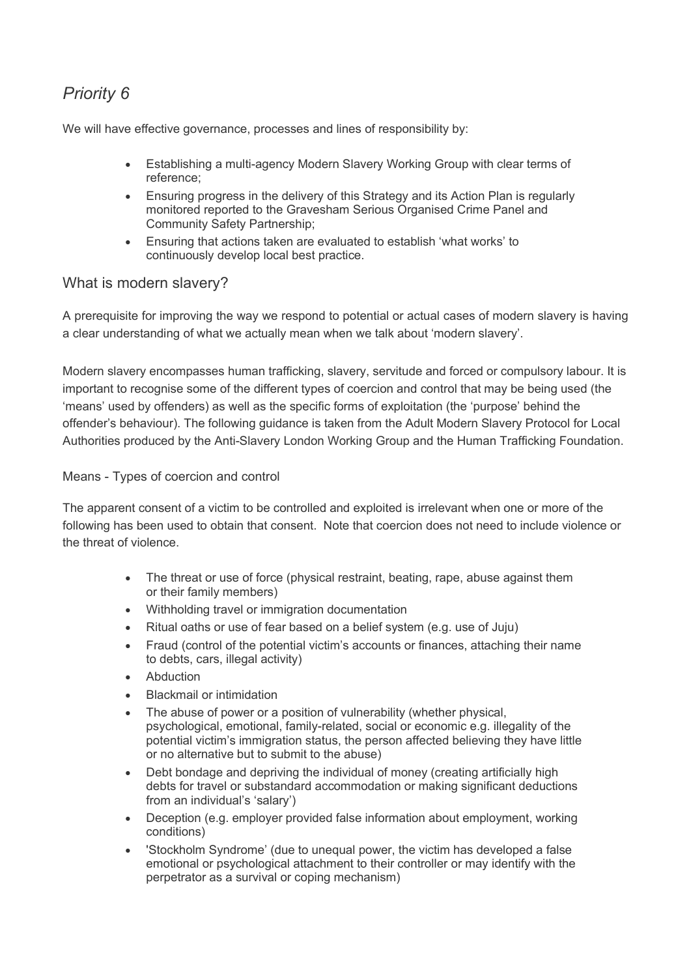# *Priority 6*

We will have effective governance, processes and lines of responsibility by:

- Establishing a multi-agency Modern Slavery Working Group with clear terms of reference;
- Ensuring progress in the delivery of this Strategy and its Action Plan is regularly monitored reported to the Gravesham Serious Organised Crime Panel and Community Safety Partnership;
- Ensuring that actions taken are evaluated to establish 'what works' to continuously develop local best practice.

#### What is modern slavery?

A prerequisite for improving the way we respond to potential or actual cases of modern slavery is having a clear understanding of what we actually mean when we talk about 'modern slavery'.

Modern slavery encompasses human trafficking, slavery, servitude and forced or compulsory labour. It is important to recognise some of the different types of coercion and control that may be being used (the 'means' used by offenders) as well as the specific forms of exploitation (the 'purpose' behind the offender's behaviour). The following guidance is taken from the Adult Modern Slavery Protocol for Local Authorities produced by the Anti-Slavery London Working Group and the Human Trafficking Foundation.

#### Means - Types of coercion and control

The apparent consent of a victim to be controlled and exploited is irrelevant when one or more of the following has been used to obtain that consent. Note that coercion does not need to include violence or the threat of violence.

- The threat or use of force (physical restraint, beating, rape, abuse against them or their family members)
- Withholding travel or immigration documentation
- Ritual oaths or use of fear based on a belief system (e.g. use of Juju)
- Fraud (control of the potential victim's accounts or finances, attaching their name to debts, cars, illegal activity)
- **Abduction**
- Blackmail or intimidation
- The abuse of power or a position of vulnerability (whether physical, psychological, emotional, family-related, social or economic e.g. illegality of the potential victim's immigration status, the person affected believing they have little or no alternative but to submit to the abuse)
- Debt bondage and depriving the individual of money (creating artificially high debts for travel or substandard accommodation or making significant deductions from an individual's 'salary')
- Deception (e.g. employer provided false information about employment, working conditions)
- 'Stockholm Syndrome' (due to unequal power, the victim has developed a false emotional or psychological attachment to their controller or may identify with the perpetrator as a survival or coping mechanism)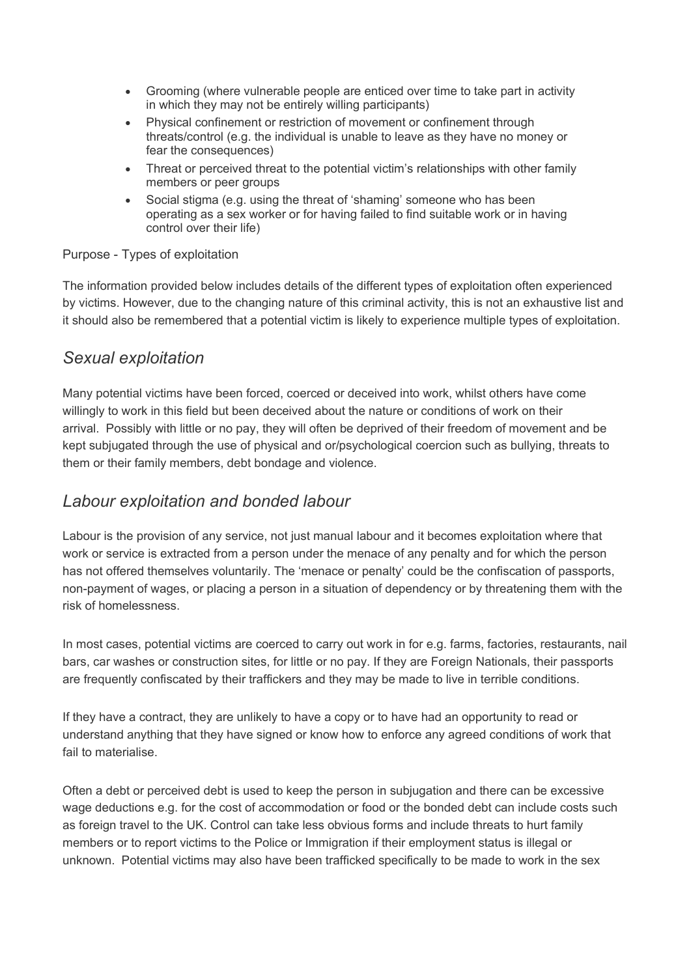- Grooming (where vulnerable people are enticed over time to take part in activity in which they may not be entirely willing participants)
- Physical confinement or restriction of movement or confinement through threats/control (e.g. the individual is unable to leave as they have no money or fear the consequences)
- Threat or perceived threat to the potential victim's relationships with other family members or peer groups
- Social stigma (e.g. using the threat of 'shaming' someone who has been operating as a sex worker or for having failed to find suitable work or in having control over their life)

#### Purpose - Types of exploitation

The information provided below includes details of the different types of exploitation often experienced by victims. However, due to the changing nature of this criminal activity, this is not an exhaustive list and it should also be remembered that a potential victim is likely to experience multiple types of exploitation.

### *Sexual exploitation*

Many potential victims have been forced, coerced or deceived into work, whilst others have come willingly to work in this field but been deceived about the nature or conditions of work on their arrival. Possibly with little or no pay, they will often be deprived of their freedom of movement and be kept subjugated through the use of physical and or/psychological coercion such as bullying, threats to them or their family members, debt bondage and violence.

### *Labour exploitation and bonded labour*

Labour is the provision of any service, not just manual labour and it becomes exploitation where that work or service is extracted from a person under the menace of any penalty and for which the person has not offered themselves voluntarily. The 'menace or penalty' could be the confiscation of passports, non-payment of wages, or placing a person in a situation of dependency or by threatening them with the risk of homelessness.

In most cases, potential victims are coerced to carry out work in for e.g. farms, factories, restaurants, nail bars, car washes or construction sites, for little or no pay. If they are Foreign Nationals, their passports are frequently confiscated by their traffickers and they may be made to live in terrible conditions.

If they have a contract, they are unlikely to have a copy or to have had an opportunity to read or understand anything that they have signed or know how to enforce any agreed conditions of work that fail to materialise.

Often a debt or perceived debt is used to keep the person in subjugation and there can be excessive wage deductions e.g. for the cost of accommodation or food or the bonded debt can include costs such as foreign travel to the UK. Control can take less obvious forms and include threats to hurt family members or to report victims to the Police or Immigration if their employment status is illegal or unknown. Potential victims may also have been trafficked specifically to be made to work in the sex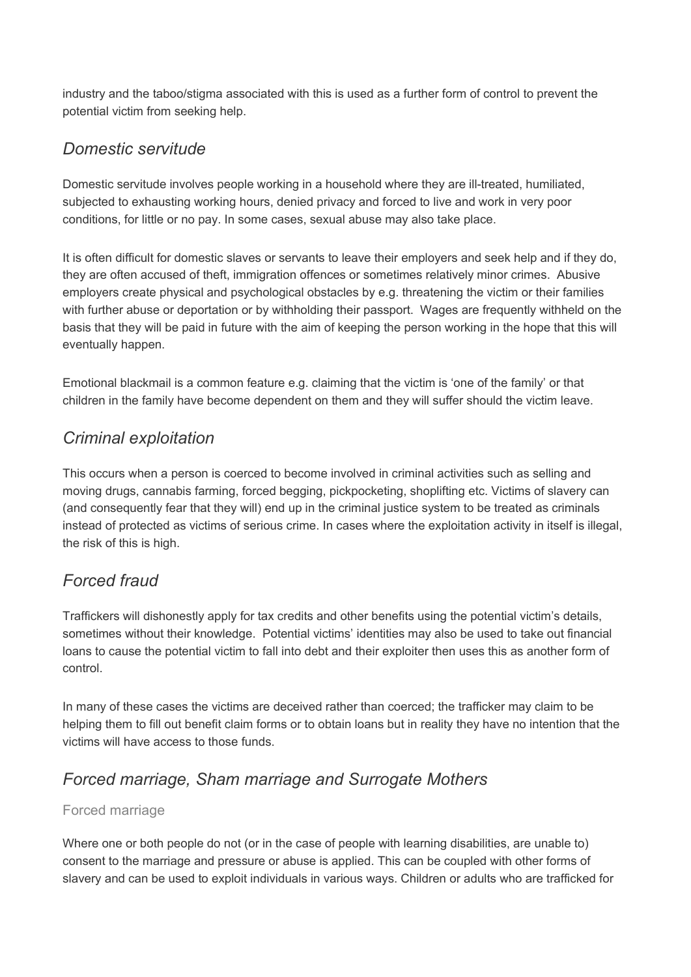industry and the taboo/stigma associated with this is used as a further form of control to prevent the potential victim from seeking help.

### *Domestic servitude*

Domestic servitude involves people working in a household where they are ill-treated, humiliated, subjected to exhausting working hours, denied privacy and forced to live and work in very poor conditions, for little or no pay. In some cases, sexual abuse may also take place.

It is often difficult for domestic slaves or servants to leave their employers and seek help and if they do, they are often accused of theft, immigration offences or sometimes relatively minor crimes. Abusive employers create physical and psychological obstacles by e.g. threatening the victim or their families with further abuse or deportation or by withholding their passport. Wages are frequently withheld on the basis that they will be paid in future with the aim of keeping the person working in the hope that this will eventually happen.

Emotional blackmail is a common feature e.g. claiming that the victim is 'one of the family' or that children in the family have become dependent on them and they will suffer should the victim leave.

# *Criminal exploitation*

This occurs when a person is coerced to become involved in criminal activities such as selling and moving drugs, cannabis farming, forced begging, pickpocketing, shoplifting etc. Victims of slavery can (and consequently fear that they will) end up in the criminal justice system to be treated as criminals instead of protected as victims of serious crime. In cases where the exploitation activity in itself is illegal, the risk of this is high.

# *Forced fraud*

Traffickers will dishonestly apply for tax credits and other benefits using the potential victim's details, sometimes without their knowledge. Potential victims' identities may also be used to take out financial loans to cause the potential victim to fall into debt and their exploiter then uses this as another form of control.

In many of these cases the victims are deceived rather than coerced; the trafficker may claim to be helping them to fill out benefit claim forms or to obtain loans but in reality they have no intention that the victims will have access to those funds.

# *Forced marriage, Sham marriage and Surrogate Mothers*

#### Forced marriage

Where one or both people do not (or in the case of people with learning disabilities, are unable to) consent to the marriage and pressure or abuse is applied. This can be coupled with other forms of slavery and can be used to exploit individuals in various ways. Children or adults who are trafficked for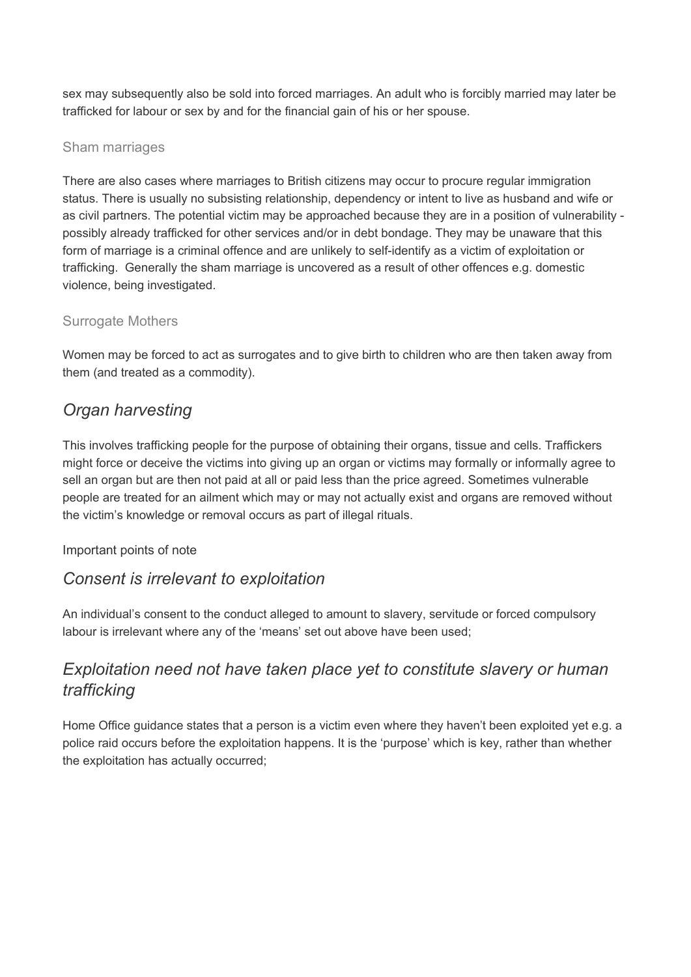sex may subsequently also be sold into forced marriages. An adult who is forcibly married may later be trafficked for labour or sex by and for the financial gain of his or her spouse.

#### Sham marriages

There are also cases where marriages to British citizens may occur to procure regular immigration status. There is usually no subsisting relationship, dependency or intent to live as husband and wife or as civil partners. The potential victim may be approached because they are in a position of vulnerability possibly already trafficked for other services and/or in debt bondage. They may be unaware that this form of marriage is a criminal offence and are unlikely to self-identify as a victim of exploitation or trafficking. Generally the sham marriage is uncovered as a result of other offences e.g. domestic violence, being investigated.

#### Surrogate Mothers

Women may be forced to act as surrogates and to give birth to children who are then taken away from them (and treated as a commodity).

# *Organ harvesting*

This involves trafficking people for the purpose of obtaining their organs, tissue and cells. Traffickers might force or deceive the victims into giving up an organ or victims may formally or informally agree to sell an organ but are then not paid at all or paid less than the price agreed. Sometimes vulnerable people are treated for an ailment which may or may not actually exist and organs are removed without the victim's knowledge or removal occurs as part of illegal rituals.

#### Important points of note

# *Consent is irrelevant to exploitation*

An individual's consent to the conduct alleged to amount to slavery, servitude or forced compulsory labour is irrelevant where any of the 'means' set out above have been used;

# *Exploitation need not have taken place yet to constitute slavery or human trafficking*

Home Office guidance states that a person is a victim even where they haven't been exploited yet e.g. a police raid occurs before the exploitation happens. It is the 'purpose' which is key, rather than whether the exploitation has actually occurred;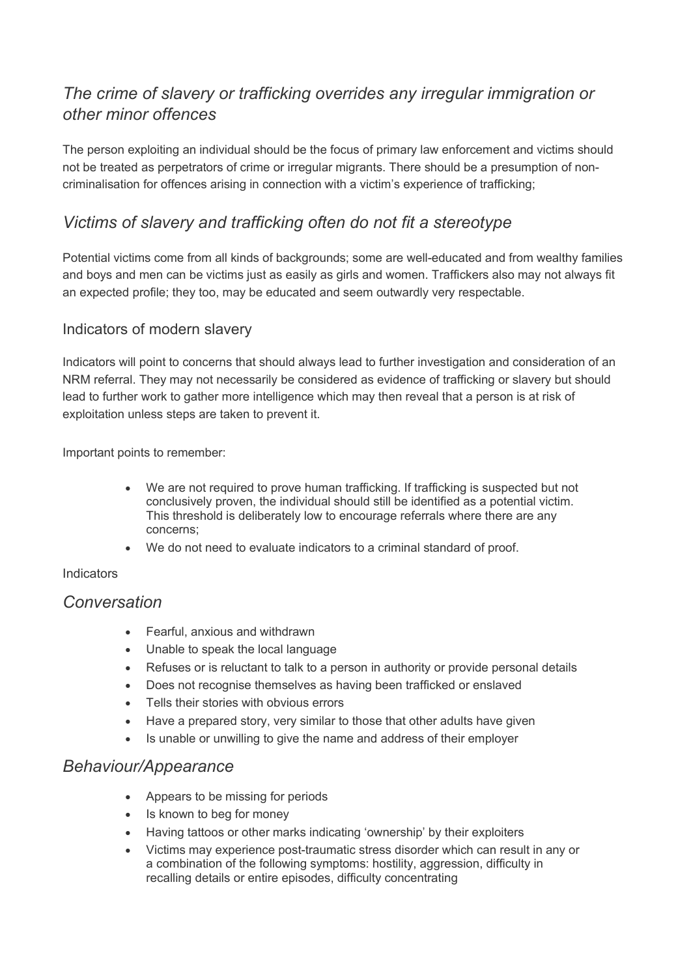# *The crime of slavery or trafficking overrides any irregular immigration or other minor offences*

The person exploiting an individual should be the focus of primary law enforcement and victims should not be treated as perpetrators of crime or irregular migrants. There should be a presumption of noncriminalisation for offences arising in connection with a victim's experience of trafficking;

# *Victims of slavery and trafficking often do not fit a stereotype*

Potential victims come from all kinds of backgrounds; some are well-educated and from wealthy families and boys and men can be victims just as easily as girls and women. Traffickers also may not always fit an expected profile; they too, may be educated and seem outwardly very respectable.

#### Indicators of modern slavery

Indicators will point to concerns that should always lead to further investigation and consideration of an NRM referral. They may not necessarily be considered as evidence of trafficking or slavery but should lead to further work to gather more intelligence which may then reveal that a person is at risk of exploitation unless steps are taken to prevent it.

Important points to remember:

- We are not required to prove human trafficking. If trafficking is suspected but not conclusively proven, the individual should still be identified as a potential victim. This threshold is deliberately low to encourage referrals where there are any concerns;
- We do not need to evaluate indicators to a criminal standard of proof.

#### **Indicators**

#### *Conversation*

- Fearful, anxious and withdrawn
- Unable to speak the local language
- Refuses or is reluctant to talk to a person in authority or provide personal details
- Does not recognise themselves as having been trafficked or enslaved
- Tells their stories with obvious errors
- Have a prepared story, very similar to those that other adults have given
- Is unable or unwilling to give the name and address of their employer

### *Behaviour/Appearance*

- Appears to be missing for periods
- Is known to beg for money
- Having tattoos or other marks indicating 'ownership' by their exploiters
- Victims may experience post-traumatic stress disorder which can result in any or a combination of the following symptoms: hostility, aggression, difficulty in recalling details or entire episodes, difficulty concentrating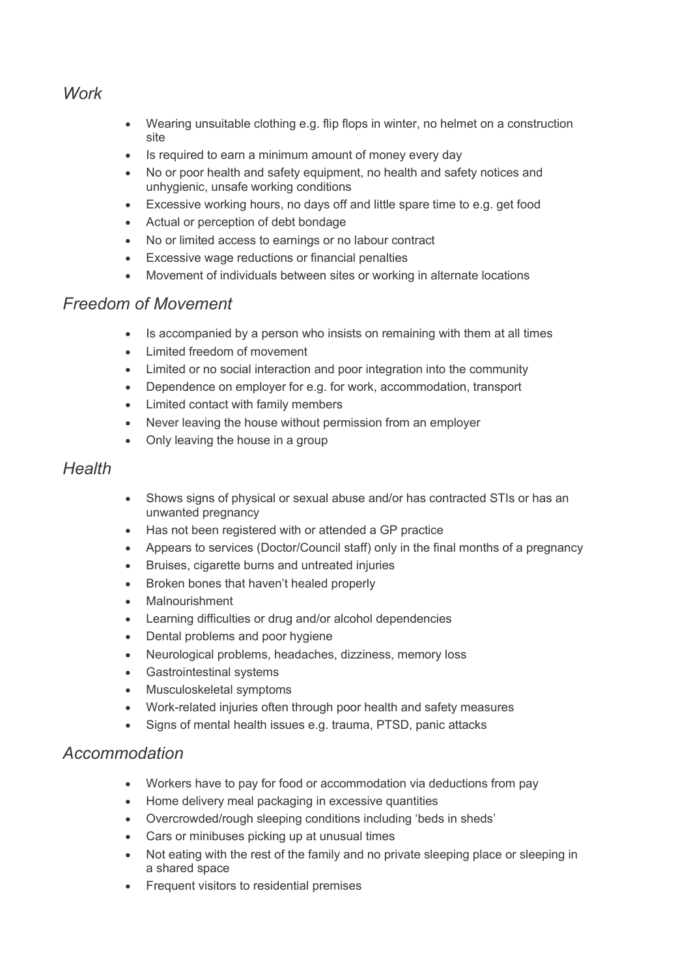### *Work*

- Wearing unsuitable clothing e.g. flip flops in winter, no helmet on a construction site
- Is required to earn a minimum amount of money every day
- No or poor health and safety equipment, no health and safety notices and unhygienic, unsafe working conditions
- Excessive working hours, no days off and little spare time to e.g. get food
- Actual or perception of debt bondage
- No or limited access to earnings or no labour contract
- Excessive wage reductions or financial penalties
- Movement of individuals between sites or working in alternate locations

### *Freedom of Movement*

- Is accompanied by a person who insists on remaining with them at all times
- Limited freedom of movement
- Limited or no social interaction and poor integration into the community
- Dependence on employer for e.g. for work, accommodation, transport
- Limited contact with family members
- Never leaving the house without permission from an employer
- Only leaving the house in a group

### *Health*

- Shows signs of physical or sexual abuse and/or has contracted STIs or has an unwanted pregnancy
- Has not been registered with or attended a GP practice
- Appears to services (Doctor/Council staff) only in the final months of a pregnancy
- Bruises, cigarette burns and untreated injuries
- Broken bones that haven't healed properly
- **Malnourishment**
- Learning difficulties or drug and/or alcohol dependencies
- Dental problems and poor hygiene
- Neurological problems, headaches, dizziness, memory loss
- Gastrointestinal systems
- Musculoskeletal symptoms
- Work-related injuries often through poor health and safety measures
- Signs of mental health issues e.g. trauma, PTSD, panic attacks

#### *Accommodation*

- Workers have to pay for food or accommodation via deductions from pay
- Home delivery meal packaging in excessive quantities
- Overcrowded/rough sleeping conditions including 'beds in sheds'
- Cars or minibuses picking up at unusual times
- Not eating with the rest of the family and no private sleeping place or sleeping in a shared space
- Frequent visitors to residential premises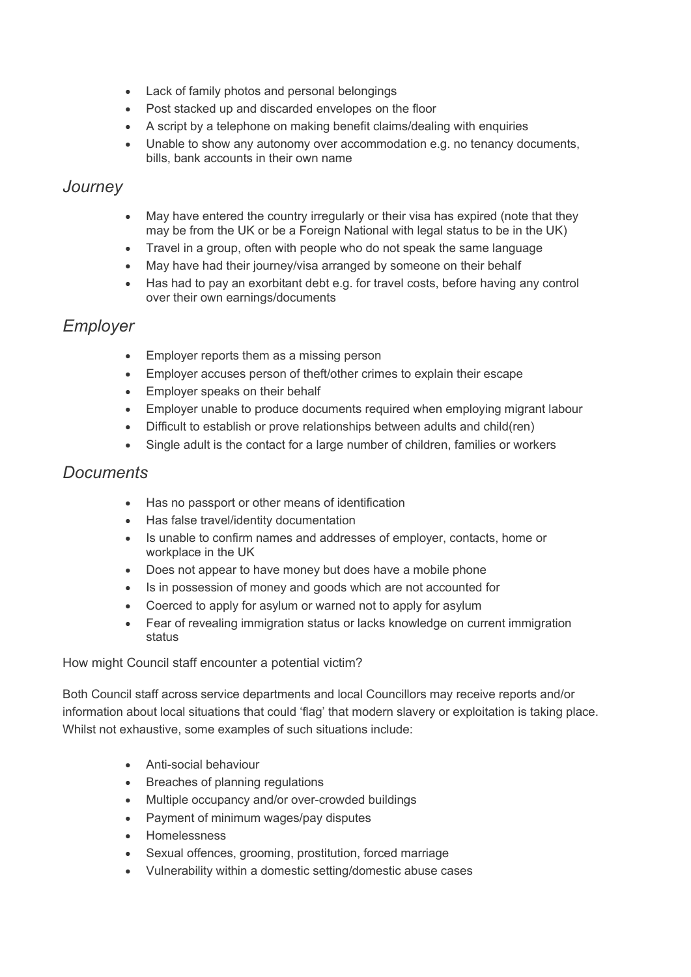- Lack of family photos and personal belongings
- Post stacked up and discarded envelopes on the floor
- A script by a telephone on making benefit claims/dealing with enquiries
- Unable to show any autonomy over accommodation e.g. no tenancy documents, bills, bank accounts in their own name

#### *Journey*

- May have entered the country irregularly or their visa has expired (note that they may be from the UK or be a Foreign National with legal status to be in the UK)
- Travel in a group, often with people who do not speak the same language
- May have had their journey/visa arranged by someone on their behalf
- Has had to pay an exorbitant debt e.g. for travel costs, before having any control over their own earnings/documents

### *Employer*

- Employer reports them as a missing person
- Employer accuses person of theft/other crimes to explain their escape
- Employer speaks on their behalf
- Employer unable to produce documents required when employing migrant labour
- Difficult to establish or prove relationships between adults and child(ren)
- Single adult is the contact for a large number of children, families or workers

#### *Documents*

- Has no passport or other means of identification
- Has false travel/identity documentation
- Is unable to confirm names and addresses of employer, contacts, home or workplace in the UK
- Does not appear to have money but does have a mobile phone
- Is in possession of money and goods which are not accounted for
- Coerced to apply for asylum or warned not to apply for asylum
- Fear of revealing immigration status or lacks knowledge on current immigration status

#### How might Council staff encounter a potential victim?

Both Council staff across service departments and local Councillors may receive reports and/or information about local situations that could 'flag' that modern slavery or exploitation is taking place. Whilst not exhaustive, some examples of such situations include:

- Anti-social behaviour
- Breaches of planning regulations
- Multiple occupancy and/or over-crowded buildings
- Payment of minimum wages/pay disputes
- Homelessness
- Sexual offences, grooming, prostitution, forced marriage
- Vulnerability within a domestic setting/domestic abuse cases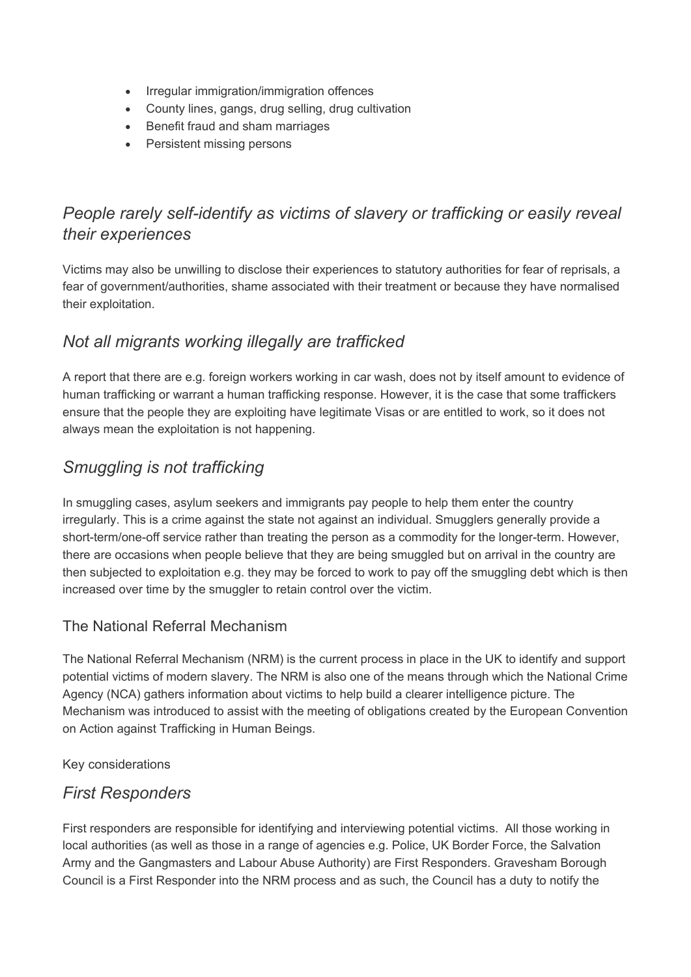- Irregular immigration/immigration offences
- County lines, gangs, drug selling, drug cultivation
- Benefit fraud and sham marriages
- Persistent missing persons

# *People rarely self-identify as victims of slavery or trafficking or easily reveal their experiences*

Victims may also be unwilling to disclose their experiences to statutory authorities for fear of reprisals, a fear of government/authorities, shame associated with their treatment or because they have normalised their exploitation.

# *Not all migrants working illegally are trafficked*

A report that there are e.g. foreign workers working in car wash, does not by itself amount to evidence of human trafficking or warrant a human trafficking response. However, it is the case that some traffickers ensure that the people they are exploiting have legitimate Visas or are entitled to work, so it does not always mean the exploitation is not happening.

# *Smuggling is not trafficking*

In smuggling cases, asylum seekers and immigrants pay people to help them enter the country irregularly. This is a crime against the state not against an individual. Smugglers generally provide a short-term/one-off service rather than treating the person as a commodity for the longer-term. However, there are occasions when people believe that they are being smuggled but on arrival in the country are then subjected to exploitation e.g. they may be forced to work to pay off the smuggling debt which is then increased over time by the smuggler to retain control over the victim.

#### The National Referral Mechanism

The National Referral Mechanism (NRM) is the current process in place in the UK to identify and support potential victims of modern slavery. The NRM is also one of the means through which the National Crime Agency (NCA) gathers information about victims to help build a clearer intelligence picture. The Mechanism was introduced to assist with the meeting of obligations created by the European Convention on Action against Trafficking in Human Beings.

Key considerations

# *First Responders*

First responders are responsible for identifying and interviewing potential victims. All those working in local authorities (as well as those in a range of agencies e.g. Police, UK Border Force, the Salvation Army and the Gangmasters and Labour Abuse Authority) are First Responders. Gravesham Borough Council is a First Responder into the NRM process and as such, the Council has a duty to notify the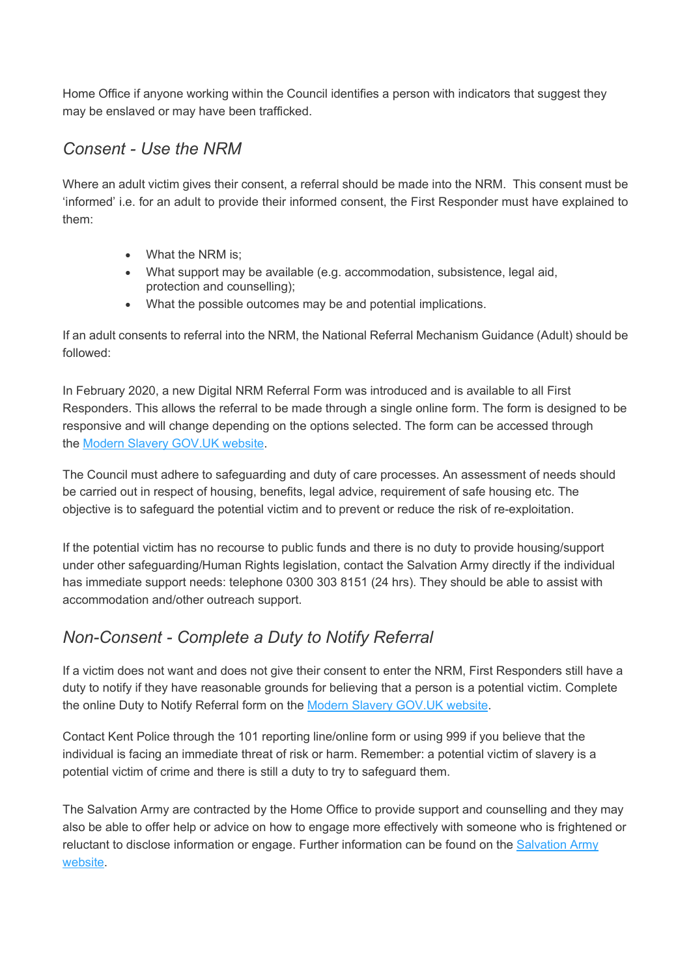Home Office if anyone working within the Council identifies a person with indicators that suggest they may be enslaved or may have been trafficked.

# *Consent - Use the NRM*

Where an adult victim gives their consent, a referral should be made into the NRM. This consent must be 'informed' i.e. for an adult to provide their informed consent, the First Responder must have explained to them:

- What the NRM is:
- What support may be available (e.g. accommodation, subsistence, legal aid, protection and counselling);
- What the possible outcomes may be and potential implications.

If an adult consents to referral into the NRM, the National Referral Mechanism Guidance (Adult) should be followed:

In February 2020, a new Digital NRM Referral Form was introduced and is available to all First Responders. This allows the referral to be made through a single online form. The form is designed to be responsive and will change depending on the options selected. The form can be accessed through the Modern Slavery [GOV.UK](https://www.modernslavery.gov.uk/start) website.

The Council must adhere to safeguarding and duty of care processes. An assessment of needs should be carried out in respect of housing, benefits, legal advice, requirement of safe housing etc. The objective is to safeguard the potential victim and to prevent or reduce the risk of re-exploitation.

If the potential victim has no recourse to public funds and there is no duty to provide housing/support under other safeguarding/Human Rights legislation, contact the Salvation Army directly if the individual has immediate support needs: telephone 0300 303 8151 (24 hrs). They should be able to assist with accommodation and/other outreach support.

# *Non-Consent - Complete a Duty to Notify Referral*

If a victim does not want and does not give their consent to enter the NRM, First Responders still have a duty to notify if they have reasonable grounds for believing that a person is a potential victim. Complete the online Duty to Notify Referral form on the Modern Slavery [GOV.UK](https://www.modernslavery.gov.uk/start) website.

Contact Kent Police through the 101 reporting line/online form or using 999 if you believe that the individual is facing an immediate threat of risk or harm. Remember: a potential victim of slavery is a potential victim of crime and there is still a duty to try to safeguard them.

The Salvation Army are contracted by the Home Office to provide support and counselling and they may also be able to offer help or advice on how to engage more effectively with someone who is frightened or reluctant to disclose information or engage. Further information can be found on the [Salvation](https://www.salvationarmy.org.uk/modern-slavery) Army [website.](https://www.salvationarmy.org.uk/modern-slavery)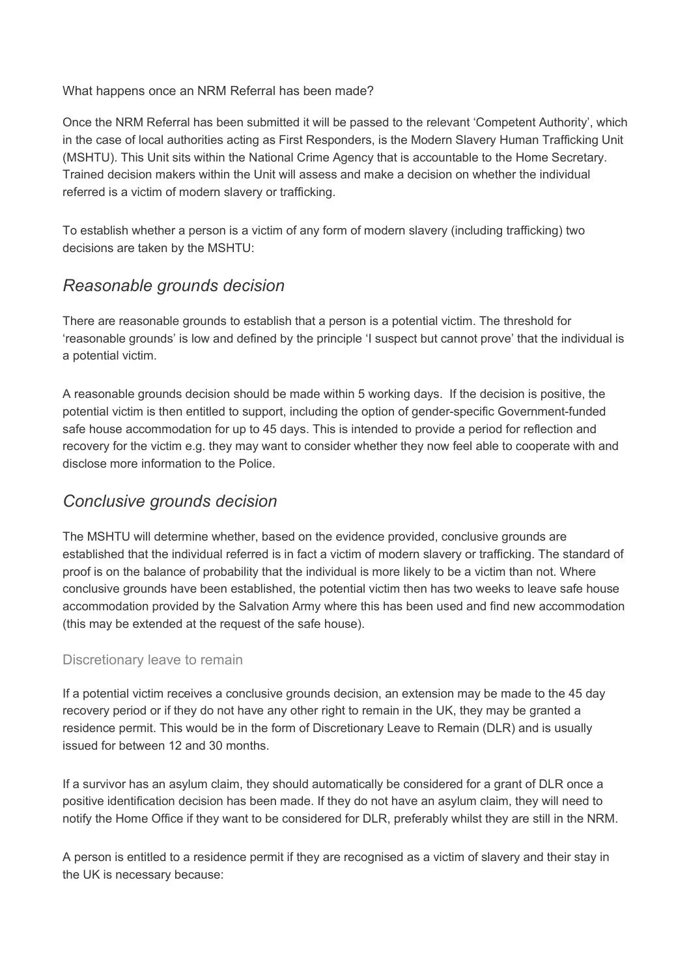What happens once an NRM Referral has been made?

Once the NRM Referral has been submitted it will be passed to the relevant 'Competent Authority', which in the case of local authorities acting as First Responders, is the Modern Slavery Human Trafficking Unit (MSHTU). This Unit sits within the National Crime Agency that is accountable to the Home Secretary. Trained decision makers within the Unit will assess and make a decision on whether the individual referred is a victim of modern slavery or trafficking.

To establish whether a person is a victim of any form of modern slavery (including trafficking) two decisions are taken by the MSHTU:

# *Reasonable grounds decision*

There are reasonable grounds to establish that a person is a potential victim. The threshold for 'reasonable grounds' is low and defined by the principle 'I suspect but cannot prove' that the individual is a potential victim.

A reasonable grounds decision should be made within 5 working days. If the decision is positive, the potential victim is then entitled to support, including the option of gender-specific Government-funded safe house accommodation for up to 45 days. This is intended to provide a period for reflection and recovery for the victim e.g. they may want to consider whether they now feel able to cooperate with and disclose more information to the Police.

# *Conclusive grounds decision*

The MSHTU will determine whether, based on the evidence provided, conclusive grounds are established that the individual referred is in fact a victim of modern slavery or trafficking. The standard of proof is on the balance of probability that the individual is more likely to be a victim than not. Where conclusive grounds have been established, the potential victim then has two weeks to leave safe house accommodation provided by the Salvation Army where this has been used and find new accommodation (this may be extended at the request of the safe house).

#### Discretionary leave to remain

If a potential victim receives a conclusive grounds decision, an extension may be made to the 45 day recovery period or if they do not have any other right to remain in the UK, they may be granted a residence permit. This would be in the form of Discretionary Leave to Remain (DLR) and is usually issued for between 12 and 30 months.

If a survivor has an asylum claim, they should automatically be considered for a grant of DLR once a positive identification decision has been made. If they do not have an asylum claim, they will need to notify the Home Office if they want to be considered for DLR, preferably whilst they are still in the NRM.

A person is entitled to a residence permit if they are recognised as a victim of slavery and their stay in the UK is necessary because: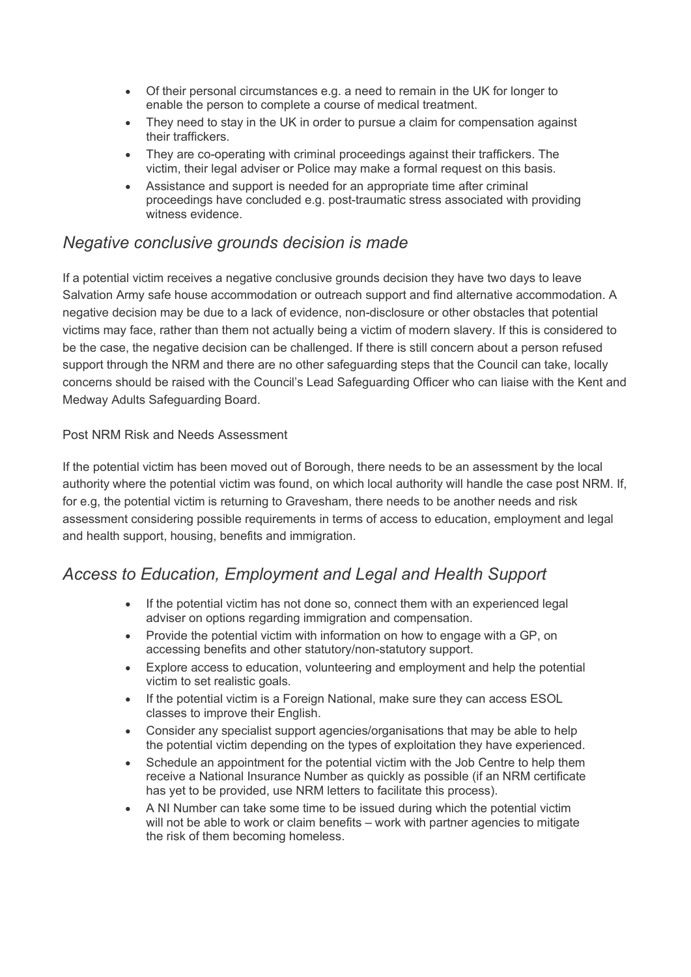- Of their personal circumstances e.g. a need to remain in the UK for longer to enable the person to complete a course of medical treatment.
- They need to stay in the UK in order to pursue a claim for compensation against their traffickers.
- They are co-operating with criminal proceedings against their traffickers. The victim, their legal adviser or Police may make a formal request on this basis.
- Assistance and support is needed for an appropriate time after criminal proceedings have concluded e.g. post-traumatic stress associated with providing witness evidence.

# *Negative conclusive grounds decision is made*

If a potential victim receives a negative conclusive grounds decision they have two days to leave Salvation Army safe house accommodation or outreach support and find alternative accommodation. A negative decision may be due to a lack of evidence, non-disclosure or other obstacles that potential victims may face, rather than them not actually being a victim of modern slavery. If this is considered to be the case, the negative decision can be challenged. If there is still concern about a person refused support through the NRM and there are no other safeguarding steps that the Council can take, locally concerns should be raised with the Council's Lead Safeguarding Officer who can liaise with the Kent and Medway Adults Safeguarding Board.

#### Post NRM Risk and Needs Assessment

If the potential victim has been moved out of Borough, there needs to be an assessment by the local authority where the potential victim was found, on which local authority will handle the case post NRM. If, for e.g, the potential victim is returning to Gravesham, there needs to be another needs and risk assessment considering possible requirements in terms of access to education, employment and legal and health support, housing, benefits and immigration.

# *Access to Education, Employment and Legal and Health Support*

- If the potential victim has not done so, connect them with an experienced legal adviser on options regarding immigration and compensation.
- Provide the potential victim with information on how to engage with a GP, on accessing benefits and other statutory/non-statutory support.
- Explore access to education, volunteering and employment and help the potential victim to set realistic goals.
- If the potential victim is a Foreign National, make sure they can access ESOL classes to improve their English.
- Consider any specialist support agencies/organisations that may be able to help the potential victim depending on the types of exploitation they have experienced.
- Schedule an appointment for the potential victim with the Job Centre to help them receive a National Insurance Number as quickly as possible (if an NRM certificate has yet to be provided, use NRM letters to facilitate this process).
- A NI Number can take some time to be issued during which the potential victim will not be able to work or claim benefits – work with partner agencies to mitigate the risk of them becoming homeless.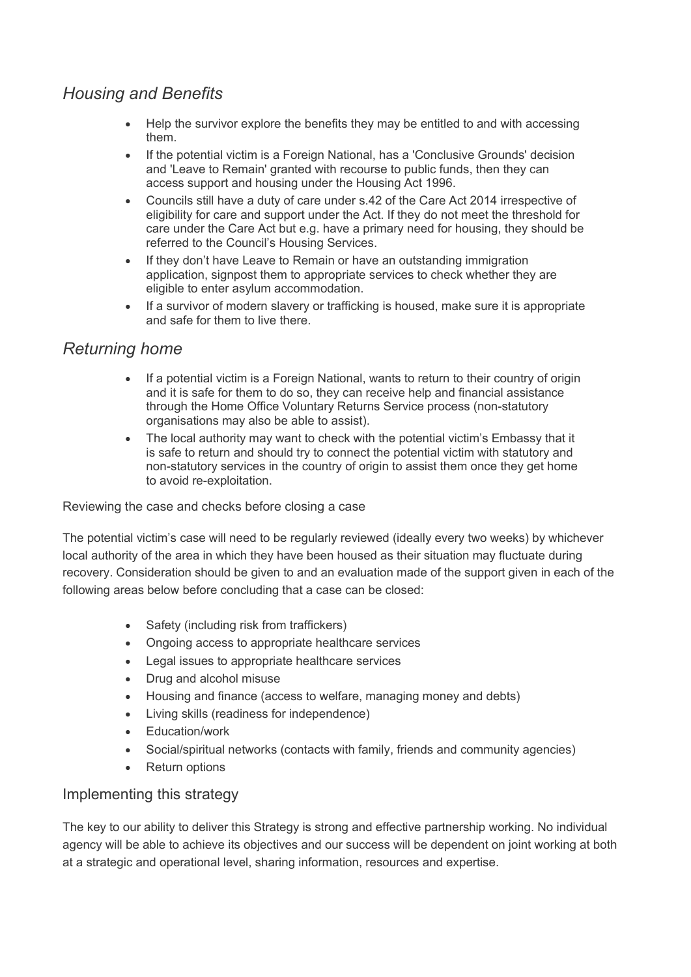# *Housing and Benefits*

- Help the survivor explore the benefits they may be entitled to and with accessing them.
- If the potential victim is a Foreign National, has a 'Conclusive Grounds' decision and 'Leave to Remain' granted with recourse to public funds, then they can access support and housing under the Housing Act 1996.
- Councils still have a duty of care under s.42 of the Care Act 2014 irrespective of eligibility for care and support under the Act. If they do not meet the threshold for care under the Care Act but e.g. have a primary need for housing, they should be referred to the Council's Housing Services.
- If they don't have Leave to Remain or have an outstanding immigration application, signpost them to appropriate services to check whether they are eligible to enter asylum accommodation.
- If a survivor of modern slavery or trafficking is housed, make sure it is appropriate and safe for them to live there.

# *Returning home*

- If a potential victim is a Foreign National, wants to return to their country of origin and it is safe for them to do so, they can receive help and financial assistance through the Home Office Voluntary Returns Service process (non-statutory organisations may also be able to assist).
- The local authority may want to check with the potential victim's Embassy that it is safe to return and should try to connect the potential victim with statutory and non-statutory services in the country of origin to assist them once they get home to avoid re-exploitation.

Reviewing the case and checks before closing a case

The potential victim's case will need to be regularly reviewed (ideally every two weeks) by whichever local authority of the area in which they have been housed as their situation may fluctuate during recovery. Consideration should be given to and an evaluation made of the support given in each of the following areas below before concluding that a case can be closed:

- Safety (including risk from traffickers)
- Ongoing access to appropriate healthcare services
- Legal issues to appropriate healthcare services
- Drug and alcohol misuse
- Housing and finance (access to welfare, managing money and debts)
- Living skills (readiness for independence)
- Education/work
- Social/spiritual networks (contacts with family, friends and community agencies)
- Return options

#### Implementing this strategy

The key to our ability to deliver this Strategy is strong and effective partnership working. No individual agency will be able to achieve its objectives and our success will be dependent on joint working at both at a strategic and operational level, sharing information, resources and expertise.